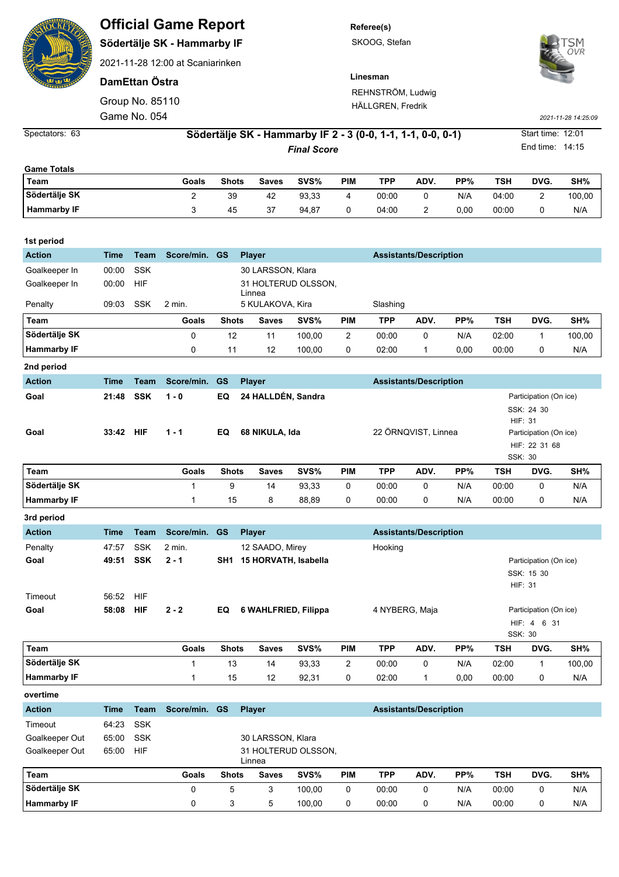|                                  |                                                             |                                                                                                 | <b>Official Game Report</b> |                                                             |                     |        |                     | Referee(s) |                               |                                                 |                                                  |                                                    |                                                 |  |  |  |
|----------------------------------|-------------------------------------------------------------|-------------------------------------------------------------------------------------------------|-----------------------------|-------------------------------------------------------------|---------------------|--------|---------------------|------------|-------------------------------|-------------------------------------------------|--------------------------------------------------|----------------------------------------------------|-------------------------------------------------|--|--|--|
|                                  |                                                             | Södertälje SK - Hammarby IF                                                                     |                             | SKOOG, Stefan                                               |                     |        |                     |            |                               |                                                 |                                                  |                                                    |                                                 |  |  |  |
|                                  |                                                             | 2021-11-28 12:00 at Scaniarinken                                                                |                             |                                                             |                     |        |                     |            |                               |                                                 |                                                  |                                                    |                                                 |  |  |  |
|                                  |                                                             | DamEttan Östra                                                                                  |                             |                                                             |                     |        |                     | Linesman   |                               |                                                 |                                                  |                                                    |                                                 |  |  |  |
|                                  | Group No. 85110                                             |                                                                                                 |                             | REHNSTRÖM, Ludwig                                           |                     |        |                     |            |                               |                                                 |                                                  |                                                    |                                                 |  |  |  |
|                                  | Game No. 054                                                |                                                                                                 |                             | HÄLLGREN, Fredrik                                           | 2021-11-28 14:25:09 |        |                     |            |                               |                                                 |                                                  |                                                    |                                                 |  |  |  |
| Spectators: 63                   | Södertälje SK - Hammarby IF 2 - 3 (0-0, 1-1, 1-1, 0-0, 0-1) |                                                                                                 |                             |                                                             |                     |        |                     |            |                               |                                                 |                                                  | Start time: 12:01                                  |                                                 |  |  |  |
|                                  | <b>Final Score</b>                                          |                                                                                                 |                             |                                                             |                     |        |                     |            |                               |                                                 |                                                  | End time: 14:15                                    |                                                 |  |  |  |
| <b>Game Totals</b>               |                                                             |                                                                                                 |                             |                                                             |                     |        |                     |            |                               |                                                 |                                                  |                                                    |                                                 |  |  |  |
| Team                             |                                                             |                                                                                                 | Goals                       | Shots                                                       | <b>Saves</b>        | SVS%   | <b>PIM</b>          | <b>TPP</b> | ADV.                          | PP%                                             | TSH                                              | DVG.                                               | SH%                                             |  |  |  |
| Södertälje SK                    |                                                             |                                                                                                 | $\overline{2}$              | 39                                                          | 42                  | 93,33  | 4                   | 00:00      | 0                             | N/A                                             | 04:00                                            | 2                                                  | 100,00                                          |  |  |  |
| <b>Hammarby IF</b>               |                                                             |                                                                                                 | 3                           | 45                                                          | 37                  | 94,87  | 0                   | 04:00      | 2                             | 0,00                                            | 00:00                                            | 0                                                  | N/A                                             |  |  |  |
| 1st period                       |                                                             |                                                                                                 |                             |                                                             |                     |        |                     |            |                               |                                                 |                                                  |                                                    |                                                 |  |  |  |
| <b>Action</b>                    | Time                                                        | Team                                                                                            | Score/min.                  | <b>GS</b><br><b>Assistants/Description</b><br><b>Player</b> |                     |        |                     |            |                               |                                                 |                                                  |                                                    |                                                 |  |  |  |
| Goalkeeper In                    | 00:00                                                       | <b>SSK</b>                                                                                      |                             | 30 LARSSON, Klara                                           |                     |        |                     |            |                               |                                                 |                                                  |                                                    |                                                 |  |  |  |
| Goalkeeper In                    | 00:00                                                       | HIF                                                                                             |                             | 31 HOLTERUD OLSSON,                                         |                     |        |                     |            |                               |                                                 |                                                  |                                                    |                                                 |  |  |  |
| Penalty                          | 09:03                                                       | <b>SSK</b>                                                                                      | 2 min.                      | Linnea<br>5 KULAKOVA, Kira<br>Slashing                      |                     |        |                     |            |                               |                                                 |                                                  |                                                    |                                                 |  |  |  |
| Team                             |                                                             |                                                                                                 | Goals                       | <b>Shots</b>                                                | <b>Saves</b>        | SVS%   | <b>PIM</b>          | <b>TPP</b> | ADV.                          | PP%                                             | <b>TSH</b>                                       | DVG.                                               | SH%                                             |  |  |  |
| Södertälje SK                    |                                                             |                                                                                                 | 0                           | 12                                                          | 11                  | 100,00 | 2                   | 00:00      | 0                             | N/A                                             | 02:00                                            | 1                                                  | 100,00                                          |  |  |  |
| <b>Hammarby IF</b>               |                                                             |                                                                                                 | 0                           | 11                                                          | 12                  | 100,00 | 0                   | 02:00      | 1                             | 0,00                                            | 00:00                                            | 0                                                  | N/A                                             |  |  |  |
| 2nd period                       |                                                             |                                                                                                 |                             |                                                             |                     |        |                     |            |                               |                                                 |                                                  |                                                    |                                                 |  |  |  |
| <b>Action</b>                    | Time                                                        | Team                                                                                            | Score/min.                  | <b>GS</b>                                                   | <b>Player</b>       |        |                     |            | <b>Assistants/Description</b> |                                                 |                                                  |                                                    |                                                 |  |  |  |
| Goal                             | 21:48                                                       | 24 HALLDÉN, Sandra<br><b>SSK</b><br>EQ<br>1 - 0<br>33:42 HIF<br>$1 - 1$<br>EQ<br>68 NIKULA, Ida |                             |                                                             |                     |        |                     |            |                               |                                                 |                                                  |                                                    | Participation (On ice)<br>SSK: 24 30<br>HIF: 31 |  |  |  |
| Goal                             |                                                             |                                                                                                 |                             |                                                             |                     |        | 22 ÖRNQVIST, Linnea |            |                               |                                                 |                                                  | Participation (On ice)<br>HIF: 22 31 68<br>SSK: 30 |                                                 |  |  |  |
| Team                             |                                                             |                                                                                                 | Goals                       | <b>Shots</b>                                                | <b>Saves</b>        | SVS%   | <b>PIM</b>          | <b>TPP</b> | ADV.                          | PP%                                             | TSH                                              | DVG.                                               | SH%                                             |  |  |  |
| Södertälje SK                    |                                                             |                                                                                                 |                             | 9                                                           | 14                  | 93,33  | 0                   | 00:00      | 0                             | N/A                                             | 00:00                                            | 0                                                  | N/A                                             |  |  |  |
| <b>Hammarby IF</b>               |                                                             |                                                                                                 | 1                           | 15                                                          | 8                   | 88,89  | 0                   | 00:00      | 0                             | N/A                                             | 00:00                                            | 0                                                  | N/A                                             |  |  |  |
| 3rd period                       |                                                             |                                                                                                 |                             |                                                             |                     |        |                     |            |                               |                                                 |                                                  |                                                    |                                                 |  |  |  |
| <b>Action</b>                    | <b>Time</b>                                                 | Team                                                                                            | Score/min.                  | <b>Assistants/Description</b><br><b>GS</b><br><b>Player</b> |                     |        |                     |            |                               |                                                 |                                                  |                                                    |                                                 |  |  |  |
| Penalty                          | 47:57                                                       | SSK                                                                                             | 2 min.                      | 12 SAADO, Mirey                                             |                     |        | Hooking             |            |                               |                                                 |                                                  |                                                    |                                                 |  |  |  |
| Goal                             | 49:51                                                       | <b>SSK</b>                                                                                      | $2 - 1$                     | SH1 15 HORVATH, Isabella                                    |                     |        |                     |            |                               | Participation (On ice)<br>SSK: 15 30<br>HIF: 31 |                                                  |                                                    |                                                 |  |  |  |
| Timeout<br>Goal                  | 56:52<br>58:08                                              | HIF<br><b>HIF</b>                                                                               | $2 - 2$                     | 6 WAHLFRIED, Filippa<br>4 NYBERG, Maja<br>EQ                |                     |        |                     |            |                               |                                                 | Participation (On ice)<br>HIF: 4 6 31<br>SSK: 30 |                                                    |                                                 |  |  |  |
| Team                             |                                                             |                                                                                                 | Goals                       | <b>Shots</b>                                                | <b>Saves</b>        | SVS%   | <b>PIM</b>          | <b>TPP</b> | ADV.                          | PP%                                             | <b>TSH</b>                                       | DVG.                                               | SH%                                             |  |  |  |
| Södertälje SK                    |                                                             |                                                                                                 | 1                           | 13                                                          | 14                  | 93,33  | $\overline{2}$      | 00:00      | 0                             | N/A                                             | 02:00                                            | 1                                                  | 100,00                                          |  |  |  |
| <b>Hammarby IF</b>               |                                                             |                                                                                                 | 1                           | 15                                                          | 12                  | 92,31  | 0                   | 02:00      | 1                             | 0,00                                            | 00:00                                            | 0                                                  | N/A                                             |  |  |  |
| overtime                         |                                                             |                                                                                                 |                             |                                                             |                     |        |                     |            |                               |                                                 |                                                  |                                                    |                                                 |  |  |  |
| <b>Action</b>                    | Time                                                        | <b>Team</b>                                                                                     | Score/min. GS               |                                                             | <b>Player</b>       |        |                     |            | <b>Assistants/Description</b> |                                                 |                                                  |                                                    |                                                 |  |  |  |
| Timeout                          | 64:23                                                       | <b>SSK</b>                                                                                      |                             |                                                             |                     |        |                     |            |                               |                                                 |                                                  |                                                    |                                                 |  |  |  |
| Goalkeeper Out<br>Goalkeeper Out | 65:00<br>65:00                                              | SSK<br>HIF                                                                                      |                             | 30 LARSSON, Klara<br>31 HOLTERUD OLSSON,<br>Linnea          |                     |        |                     |            |                               |                                                 |                                                  |                                                    |                                                 |  |  |  |
| Team                             |                                                             |                                                                                                 | Goals                       | <b>Shots</b>                                                | <b>Saves</b>        | SVS%   | <b>PIM</b>          | <b>TPP</b> | ADV.                          | PP%                                             | <b>TSH</b>                                       | DVG.                                               | SH%                                             |  |  |  |

 $\overline{\mathcal{L}}$ 

**Södertälje SK** 0 5 3 100,00 0 00:00 0 N/A 00:00 0 N/A **Hammarby IF** 0 3 5 100,00 0 00:00 0 N/A 00:00 0 N/A